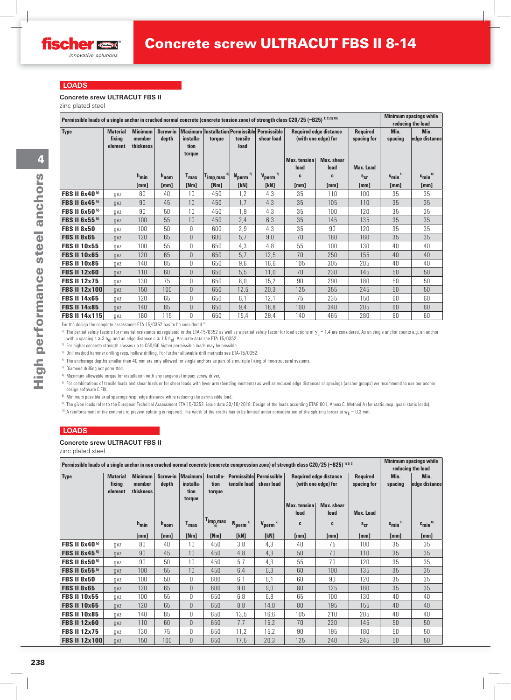## **LOADS**

## **Concrete srew ULTRACUT FBS II**

zinc plated steel

| Permissible loads of a single anchor in cracked normal concrete (concrete tension zone) of strength class C20/25 (~B25) <sup> 11213110</sup> |                                      |                                       |                          |                             |                              |                                 |                                                                   |                                                                                                                  |           |                                                    | <b>Minimum spacings while</b><br>reducing the load |                                  |
|----------------------------------------------------------------------------------------------------------------------------------------------|--------------------------------------|---------------------------------------|--------------------------|-----------------------------|------------------------------|---------------------------------|-------------------------------------------------------------------|------------------------------------------------------------------------------------------------------------------|-----------|----------------------------------------------------|----------------------------------------------------|----------------------------------|
| <b>Type</b>                                                                                                                                  | <b>Material</b><br>fixing<br>element | <b>Minimum</b><br>member<br>thickness | Screw-in<br>depth        | installa-<br>tion<br>torque | torque                       | tensile<br>load                 | <b>Maximum Installation Permissible Permissible</b><br>shear load | <b>Required edge distance</b><br>(with one edge) for<br><b>Max.</b> shear<br><b>Max.</b> tension<br>load<br>load |           | <b>Required</b><br>spacing for<br><b>Max. Load</b> | Min.<br>spacing                                    | Min.<br>edge distance            |
|                                                                                                                                              |                                      | $h_{\text{min}}$<br>[mm]              | h <sub>nom</sub><br>[mm] | $T_{\text{max}}$<br>[Nm]    | <sup>r</sup> imp,max<br>[Nm] | 7)<br>N <sub>perm</sub><br>[kN] | 7)<br>V <sub>perm</sub><br>[kN]                                   | C<br>[mm]                                                                                                        | c<br>[mm] | $s_{cr}$<br>[mm]                                   | $s_{\min}$ <sup>8)</sup><br>[mm]                   | $c_{\min}$ <sup>8)</sup><br>[mm] |
| <b>FBS II 6x40<sup>5)</sup></b>                                                                                                              | avz                                  | 80                                    | 40                       | 10                          | 450                          | 1,2                             | 4,3                                                               | 35                                                                                                               | 110       | 100                                                | 35                                                 | 35                               |
| <b>FBS II 6x45<sup>5)</sup></b>                                                                                                              | avz                                  | 90                                    | 45                       | 10                          | 450                          | 1,7                             | 4,3                                                               | 35                                                                                                               | 105       | 110                                                | 35                                                 | 35                               |
| <b>FBS II 6x50<sup>5)</sup></b>                                                                                                              | qvz                                  | 90                                    | 50                       | 10                          | 450                          | 1,9                             | 4,3                                                               | 35                                                                                                               | 100       | 120                                                | 35                                                 | 35                               |
| <b>FBS II 6x55<sup>5</sup></b>                                                                                                               | qvz                                  | 100                                   | 55                       | 10 <sup>1</sup>             | 450                          | 2,4                             | 6,3                                                               | 35                                                                                                               | 145       | 135                                                | 35                                                 | 35                               |
| <b>FBS II 8x50</b>                                                                                                                           | qvz                                  | 100                                   | 50                       | $\Box$                      | 600                          | 2,9                             | 4,3                                                               | 35                                                                                                               | 90        | 120                                                | 35                                                 | 35                               |
| <b>FBS II 8x65</b>                                                                                                                           | qvz                                  | 120                                   | 65                       | $\Omega$                    | 600                          | 5,7                             | 9,0                                                               | 70                                                                                                               | 180       | 160                                                | 35                                                 | 35                               |
| <b>FBS II 10x55</b>                                                                                                                          | qvz                                  | 100                                   | 55                       | $\overline{0}$              | 650                          | 4,3                             | 4,8                                                               | 55                                                                                                               | 100       | 130                                                | 40                                                 | 40                               |
| <b>FBS II 10x65</b>                                                                                                                          | qvz                                  | 120                                   | 65                       | $\theta$                    | 650                          | 5,7                             | 12,5                                                              | 70                                                                                                               | 250       | 155                                                | 40                                                 | 40                               |
| <b>FBS II 10x85</b>                                                                                                                          | qvz                                  | 140                                   | 85                       | $\overline{0}$              | 650                          | 9,6                             | 16, 6                                                             | 105                                                                                                              | 305       | 205                                                | 40                                                 | 40                               |
| <b>FBS II 12x60</b>                                                                                                                          | qvz                                  | 110                                   | 60                       | $\theta$                    | 650                          | 5,5                             | 11,0                                                              | 70                                                                                                               | 230       | 145                                                | 50                                                 | 50                               |
| <b>FBS II 12x75</b>                                                                                                                          | qvz                                  | 130                                   | 75                       | $\mathbf{0}$                | 650                          | 8,0                             | 15,2                                                              | 90                                                                                                               | 290       | 180                                                | 50                                                 | 50                               |
| <b>FBS II 12x100</b>                                                                                                                         | qvz                                  | 150                                   | 100                      | $\overline{0}$              | 650                          | 12,5                            | 20,3                                                              | 125                                                                                                              | 355       | 245                                                | 50                                                 | 50                               |
| <b>FBS II 14x65</b>                                                                                                                          | qvz                                  | 120                                   | 65                       | $\overline{0}$              | 650                          | 6,1                             | 12,1                                                              | 75                                                                                                               | 235       | 150                                                | 60                                                 | 60                               |
| <b>FBS II 14x85</b>                                                                                                                          | qvz                                  | 140                                   | 85                       | $\overline{0}$              | 650                          | 9,4                             | 18,8                                                              | 100                                                                                                              | 340       | 205                                                | 60                                                 | 60                               |
| <b>FBS II 14x115</b>                                                                                                                         | qvz                                  | 180                                   | 115                      | $\overline{0}$              | 650                          | 15,4                            | 29,4                                                              | 140                                                                                                              | 465       | 280                                                | 60                                                 | 60                               |

For the design the complete assessment ETA-15/0352 has to be considered.<sup>9)</sup>

<sup>1)</sup> The partial safety factors for material resistance as regulated in the ETA-15/0352 as well as a partial safety factor for load actions of  $\gamma_L$  = 1,4 are considered. As an single anchor counts e.g. an anchor with a s

<sup>2)</sup> For higher concrete strength classes up to C50/60 higher permissible loads may be possible.

3) Drill method hammer drilling resp. hollow drilling. For further allowable drill methods see ETA-15/0352.

4) The anchorage depths smaller than 40 mm are only allowed for single anchors as part of a multiple fixing of non-structural systems.

5) Diamond drilling not permitted.

6) Maximum allowable torque for installation with any tangential impact screw driver.

7) For combinations of tensile loads and shear loads or for shear loads with lever arm (bending moments) as well as reduced edge distances or spacings (anchor groups) we recommend to use our anchor design software C-FIX.

 $8)$  Minimum possible axial spacings resp. edge distance while reducing the permissible load.

9) The given loads refer to the European Technical Assessment ETA-15/0352, issue date 30/10/2018. Design of the loads according ETAG 001, Annex C, Method A (for static resp. quasi-static loads).

<sup>10)</sup> A reinforcement in the concrete to prevent splitting is required. The width of the cracks has to be limited under consideration of the splitting forces at w<sub>k</sub> ~ 0,3 mm.

## **LOADS**

## **Concrete srew ULTRACUT FBS II**

zinc plated steel

| Permissible loads of a single anchor in non-cracked normal concrete (concrete compression zone) of strength class C20/25 (~B25) $^{1/2/3}$ |                                      |                                       |                   |                                               |                                          |                  |                                        |                                                      |                           |                                |                          | <b>Minimum spacings while</b><br>reducing the load |
|--------------------------------------------------------------------------------------------------------------------------------------------|--------------------------------------|---------------------------------------|-------------------|-----------------------------------------------|------------------------------------------|------------------|----------------------------------------|------------------------------------------------------|---------------------------|--------------------------------|--------------------------|----------------------------------------------------|
| <b>Type</b>                                                                                                                                | <b>Material</b><br>fixing<br>element | <b>Minimum</b><br>member<br>thickness | Screw-in<br>depth | <b>Maximum</b><br>installa-<br>tion<br>torque | Installa-<br>tion<br>torque              | tensile load     | Permissiblel Permissible<br>shear load | <b>Required edge distance</b><br>(with one edge) for |                           | <b>Required</b><br>spacing for | Min.<br>spacing          | Min.<br>edge distance                              |
|                                                                                                                                            |                                      |                                       |                   |                                               |                                          |                  |                                        | <b>Max.</b> tension<br>load                          | <b>Max.</b> shear<br>load | <b>Max. Load</b>               |                          |                                                    |
|                                                                                                                                            |                                      | $h_{\text{min}}$                      | $h_{\text{nom}}$  | T <sub>max</sub>                              | $\mathsf{T}_{\mathsf{imp},\mathsf{max}}$ | 7)<br>$N_{perm}$ | 7)<br>$V_{\text{perm}}$                | c                                                    | c                         | $s_{cr}$                       | $s_{\min}$ <sup>8)</sup> | $c_{\min}$ <sup>8)</sup>                           |
|                                                                                                                                            |                                      | [mm]                                  | [mm]              | [Mm]                                          | [Mm]                                     | [kN]             | [kN]                                   | [mm]                                                 | [mm]                      | [mm]                           | [mm]                     | [mm]                                               |
| <b>FBS II 6x40<sup>5)</sup></b>                                                                                                            | avz                                  | 80                                    | 40                | 10                                            | 450                                      | 3,8              | 4,3                                    | 40                                                   | 75                        | 100                            | 35                       | 35                                                 |
| <b>FBS II 6x45<sup>5)</sup></b>                                                                                                            | qvz                                  | 90                                    | 45                | 10                                            | 450                                      | 4,8              | 4,3                                    | 50                                                   | 70                        | 110                            | 35                       | 35                                                 |
| <b>FBS II 6x50<sup>5)</sup></b>                                                                                                            | qvz                                  | 90                                    | 50                | 10                                            | 450                                      | 5.7              | 4,3                                    | 55                                                   | 70                        | 120                            | 35                       | 35                                                 |
| <b>FBS II 6x55<sup>5)</sup></b>                                                                                                            | QVZ                                  | 100                                   | 55                | 10                                            | 450                                      | 6,4              | 6,3                                    | 60                                                   | 100                       | 135                            | 35                       | 35                                                 |
| <b>FBS II 8x50</b>                                                                                                                         | avz                                  | 100                                   | 50                | $\overline{0}$                                | 600                                      | 6.1              | 6.1                                    | 60                                                   | 90                        | 120                            | 35                       | 35                                                 |
| <b>FBS II 8x65</b>                                                                                                                         | qvz                                  | 120                                   | 65                | $\theta$                                      | 600                                      | 9,0              | 9,0                                    | 80                                                   | 125                       | 160                            | 35                       | 35                                                 |
| <b>FBS II 10x55</b>                                                                                                                        | qvz                                  | 100                                   | 55                | $\overline{0}$                                | 650                                      | 6,8              | 6,8                                    | 65                                                   | 100                       | 130                            | 40                       | 40                                                 |
| <b>FBS II 10x65</b>                                                                                                                        | QVZ                                  | 120                                   | 65                | $\overline{0}$                                | 650                                      | 8,8              | 14,0                                   | 80                                                   | 195                       | 155                            | 40                       | 40                                                 |
| <b>FBS II 10x85</b>                                                                                                                        | qvz                                  | 140                                   | 85                | $\overline{0}$                                | 650                                      | 13,5             | 16,6                                   | 105                                                  | 210                       | 205                            | 40                       | 40                                                 |
| <b>FBS II 12x60</b>                                                                                                                        | QVZ                                  | 110                                   | 60                | $\theta$                                      | 650                                      | 7,7              | 15,2                                   | 70                                                   | 220                       | 145                            | 50                       | 50                                                 |
| <b>FBS II 12x75</b>                                                                                                                        | qvz                                  | 130                                   | 75                | $\mathbf{0}$                                  | 650                                      | 11,2             | 15,2                                   | 90                                                   | 195                       | 180                            | 50                       | 50                                                 |
| <b>FBS II 12x100</b>                                                                                                                       | qvz                                  | 150                                   | 100               | $\theta$                                      | 650                                      | 17,5             | 20,3                                   | 125                                                  | 240                       | 245                            | 50                       | 50                                                 |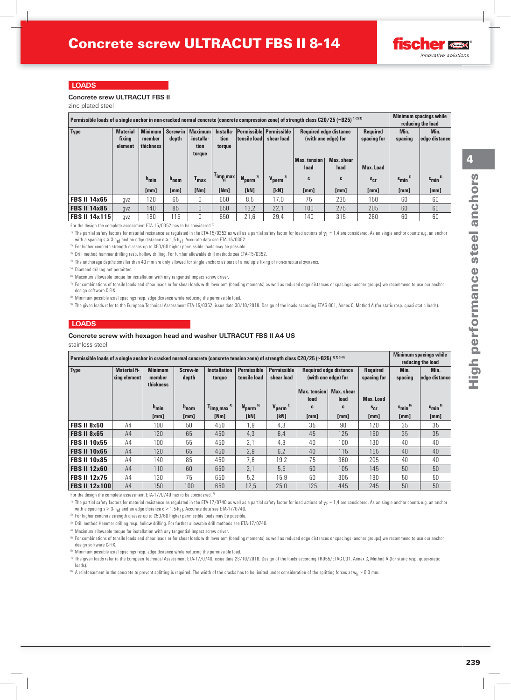## **LOADS**

### **Concrete srew ULTRACUT FBS II**

zinc plated steel

| Permissible loads of a single anchor in non-cracked normal concrete (concrete compression zone) of strength class C20/25 (~B25) 1,2131 |                 |                  |                  |                             |               |              |                                 |                     |                               |                  |                          | <b>Minimum spacings while</b> |
|----------------------------------------------------------------------------------------------------------------------------------------|-----------------|------------------|------------------|-----------------------------|---------------|--------------|---------------------------------|---------------------|-------------------------------|------------------|--------------------------|-------------------------------|
|                                                                                                                                        |                 |                  |                  |                             |               |              |                                 |                     |                               |                  |                          | reducing the load             |
| <b>Type</b>                                                                                                                            | <b>Material</b> | <b>Minimum</b>   |                  | Screw-in Maximum            | Installa-     |              | Permissible Permissible         |                     | <b>Required edge distance</b> | <b>Required</b>  | Min.                     | Min.                          |
|                                                                                                                                        | fixing          | member           | depth            | installa-                   | tion          | tensile load | shear load                      |                     | (with one edge) for           | spacing for      | spacing                  | edge distance                 |
|                                                                                                                                        | element         | thickness        |                  | tion                        | torque        |              |                                 |                     |                               |                  |                          |                               |
|                                                                                                                                        |                 |                  |                  | torque                      |               |              |                                 |                     |                               |                  |                          |                               |
|                                                                                                                                        |                 |                  |                  |                             |               |              |                                 | <b>Max.</b> tension | Max. shear                    |                  |                          |                               |
|                                                                                                                                        |                 |                  |                  |                             |               |              |                                 | load                | load                          | <b>Max. Load</b> |                          |                               |
|                                                                                                                                        |                 | $h_{\text{min}}$ | $h_{\text{nom}}$ | $\mathsf{T}_{\mathsf{max}}$ | $T_{imp,max}$ | 7)<br>Nperm  | $V_{\text{perm}}$ <sup>7)</sup> | c                   | c                             | $s_{cr}$         | $s_{\min}$ <sup>8)</sup> | $c_{\text{min}}^{8}$          |
|                                                                                                                                        |                 | [mm]             | [mm]             | [Mm]                        | [Mm]          | [kN]         | [kN]                            | [mm]                | [mm]                          | [mm]             | [mm]                     | [mm]                          |
| <b>FBS II 14x65</b>                                                                                                                    | qvz             | 120              | 65               | 0                           | 650           | 8.5          | 17.0                            | 75                  | 235                           | 150              | 60                       | 60                            |
| <b>FBS II 14x85</b>                                                                                                                    | gvz             | 140              | 85               | $\Omega$                    | 650           | 13.2         | 22,1                            | 100                 | 275                           | 205              | 60                       | 60                            |
| <b>FBS II 14x115</b>                                                                                                                   | qvz             | 180              | 15               |                             | 650           | 21,6         | 29,4                            | 140                 | 315                           | 280              | 60                       | 60                            |

For the design the complete assessment FTA-15/0352 has to be considered.<sup>9)</sup>

<sup>1)</sup> The partial safety factors for material resistance as regulated in the ETA-15/0352 as well as a partial safety factor for load actions of  $\gamma_L$  = 1,4 are considered. As an single anchor counts e.g. an anchor counts e

- $^{21}$  For higher concrete strength classes up to C50/60 higher permissible loads may be possible.
- 3) Drill method hammer drilling resp. hollow drilling. For further allowable drill methods see ETA-15/0352.
- <sup>4)</sup> The anchorage depths smaller than 40 mm are only allowed for single anchors as part of a multiple fixing of non-structural systems.

5) Diamond drilling not permitted.

- <sup>6)</sup> Maximum allowable torque for installation with any tangential impact screw driver.
- $\eta$  For combinations of tensile loads and shear loads or for shear loads with lever arm (bending moments) as well as reduced edge distances or spacings (anchor groups) we recommend to use our anchor design software C-FIX.
- <sup>8)</sup> Minimum possible axial spacings resp. edge distance while reducing the permissible load.
- 9) The given loads refer to the European Technical Assessment ETA-15/0352, issue date 30/10/2018. Design of the loads according ETAG 001, Annex C, Method A (for static resp. quasi-static loads).